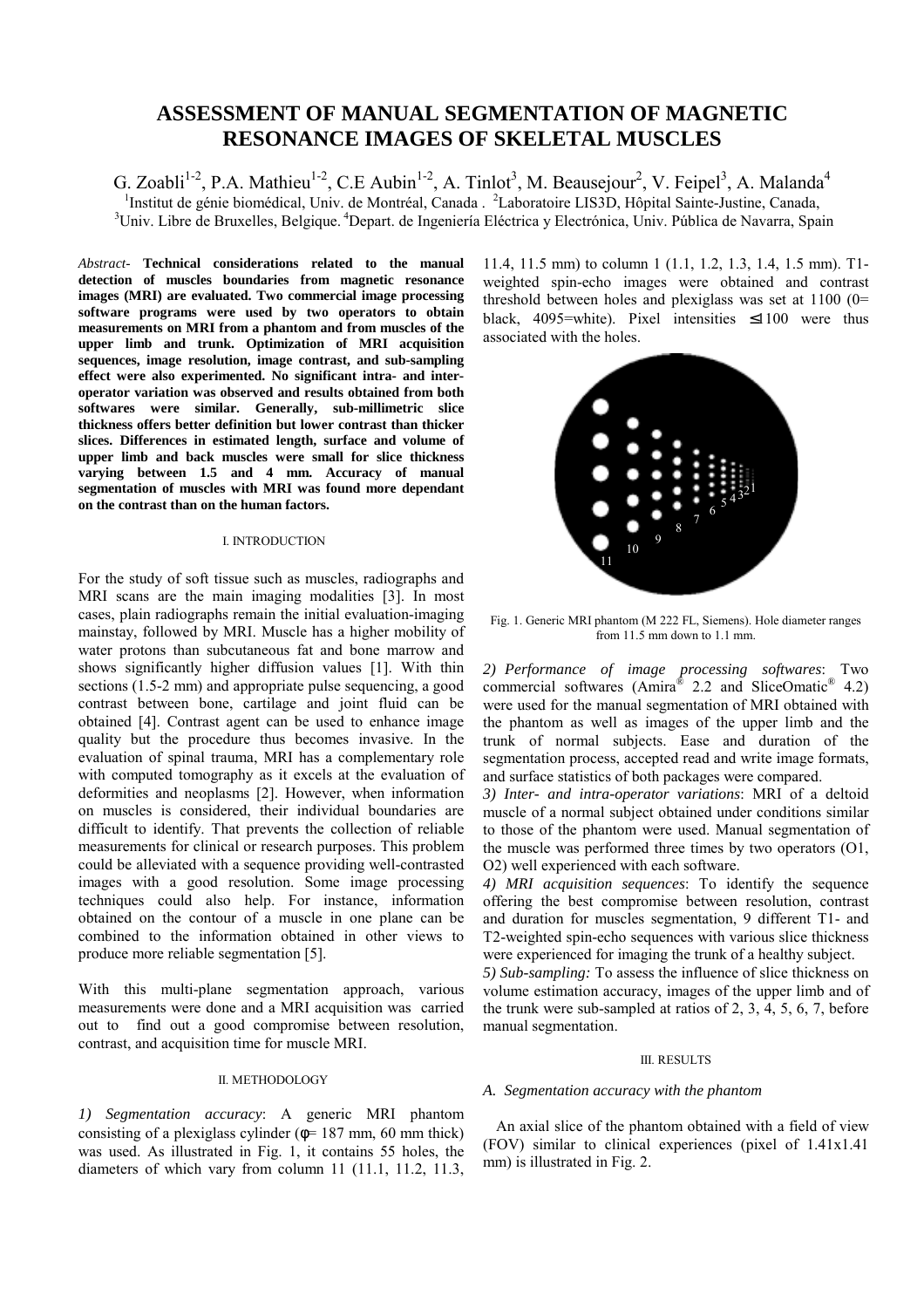# **ASSESSMENT OF MANUAL SEGMENTATION OF MAGNETIC RESONANCE IMAGES OF SKELETAL MUSCLES**

G. Zoabli<sup>1-2</sup>, P.A. Mathieu<sup>1-2</sup>, C.E Aubin<sup>1-2</sup>, A. Tinlot<sup>3</sup>, M. Beausejour<sup>2</sup>, V. Feipel<sup>3</sup>, A. Malanda<sup>4</sup> <sup>1</sup>Institut de génie biomédical, Univ. de Montréal, Canada . <sup>2</sup>Laboratoire LIS3D, Hôpital Sainte-Justine, Canada, <sup>3</sup>Liniu, Libre de Privalles, Pelegiau, <sup>4</sup>Depert, de Inscriptio Eléctrice y Electrónica, Liniu, Públice de <sup>3</sup>Univ. Libre de Bruxelles, Belgique. <sup>4</sup>Depart. de Ingeniería Eléctrica y Electrónica, Univ. Pública de Navarra, Spain

*Abstract*- **Technical considerations related to the manual detection of muscles boundaries from magnetic resonance images (MRI) are evaluated. Two commercial image processing software programs were used by two operators to obtain measurements on MRI from a phantom and from muscles of the upper limb and trunk. Optimization of MRI acquisition sequences, image resolution, image contrast, and sub-sampling effect were also experimented. No significant intra- and interoperator variation was observed and results obtained from both softwares were similar. Generally, sub-millimetric slice thickness offers better definition but lower contrast than thicker slices. Differences in estimated length, surface and volume of upper limb and back muscles were small for slice thickness varying between 1.5 and 4 mm. Accuracy of manual segmentation of muscles with MRI was found more dependant on the contrast than on the human factors.** 

## I. INTRODUCTION

For the study of soft tissue such as muscles, radiographs and MRI scans are the main imaging modalities [3]. In most cases, plain radiographs remain the initial evaluation-imaging mainstay, followed by MRI. Muscle has a higher mobility of water protons than subcutaneous fat and bone marrow and shows significantly higher diffusion values [1]. With thin sections (1.5-2 mm) and appropriate pulse sequencing, a good contrast between bone, cartilage and joint fluid can be obtained [4]. Contrast agent can be used to enhance image quality but the procedure thus becomes invasive. In the evaluation of spinal trauma, MRI has a complementary role with computed tomography as it excels at the evaluation of deformities and neoplasms [2]. However, when information on muscles is considered, their individual boundaries are difficult to identify. That prevents the collection of reliable measurements for clinical or research purposes. This problem could be alleviated with a sequence providing well-contrasted images with a good resolution. Some image processing techniques could also help. For instance, information obtained on the contour of a muscle in one plane can be combined to the information obtained in other views to produce more reliable segmentation [5].

With this multi-plane segmentation approach, various measurements were done and a MRI acquisition was carried out to find out a good compromise between resolution, contrast, and acquisition time for muscle MRI.

## II. METHODOLOGY

*1) Segmentation accuracy*: A generic MRI phantom consisting of a plexiglass cylinder ( $\phi$ = 187 mm, 60 mm thick) was used. As illustrated in Fig. 1, it contains 55 holes, the diameters of which vary from column 11 (11.1, 11.2, 11.3,

11.4, 11.5 mm) to column 1 (1.1, 1.2, 1.3, 1.4, 1.5 mm). T1 weighted spin-echo images were obtained and contrast threshold between holes and plexiglass was set at 1100 (0= black, 4095=white). Pixel intensities ≤1100 were thus associated with the holes.



Fig. 1. Generic MRI phantom (M 222 FL, Siemens). Hole diameter ranges from 11.5 mm down to 1.1 mm.

*2) Performance of image processing softwares*: Two commercial softwares (Amira<sup>®</sup> 2.2 and SliceOmatic<sup>®</sup> 4.2) were used for the manual segmentation of MRI obtained with the phantom as well as images of the upper limb and the trunk of normal subjects. Ease and duration of the segmentation process, accepted read and write image formats, and surface statistics of both packages were compared.

*3) Inter- and intra-operator variations*: MRI of a deltoid muscle of a normal subject obtained under conditions similar to those of the phantom were used. Manual segmentation of the muscle was performed three times by two operators (O1, O2) well experienced with each software.

*4) MRI acquisition sequences*: To identify the sequence offering the best compromise between resolution, contrast and duration for muscles segmentation, 9 different T1- and T2-weighted spin-echo sequences with various slice thickness were experienced for imaging the trunk of a healthy subject.

*5) Sub-sampling:* To assess the influence of slice thickness on volume estimation accuracy, images of the upper limb and of the trunk were sub-sampled at ratios of 2, 3, 4, 5, 6, 7, before manual segmentation.

### III. RESULTS

## *A. Segmentation accuracy with the phantom*

 An axial slice of the phantom obtained with a field of view (FOV) similar to clinical experiences (pixel of 1.41x1.41 mm) is illustrated in Fig. 2.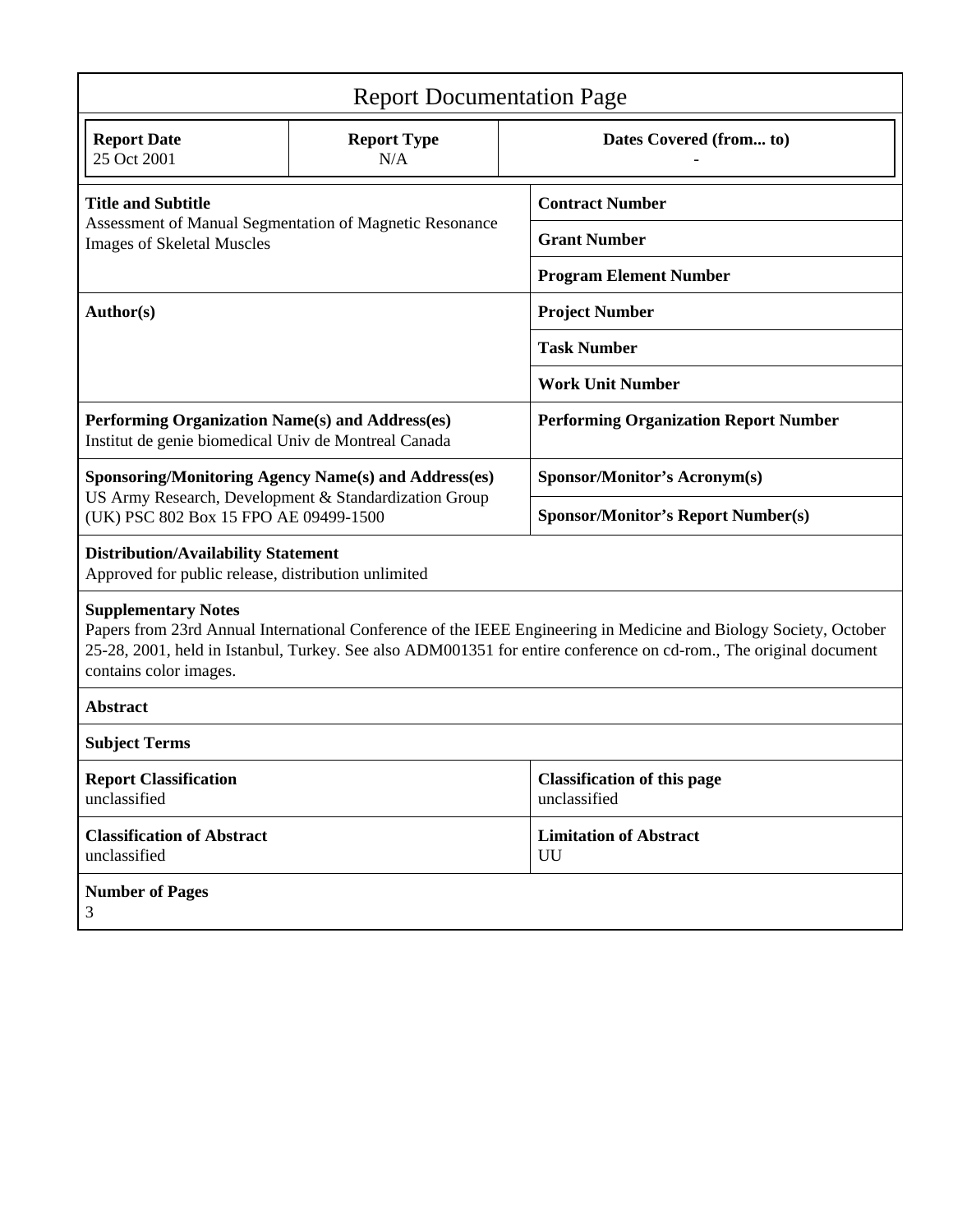| <b>Report Documentation Page</b>                                                                                                                                                                                                                                                               |                           |                                                    |
|------------------------------------------------------------------------------------------------------------------------------------------------------------------------------------------------------------------------------------------------------------------------------------------------|---------------------------|----------------------------------------------------|
| <b>Report Date</b><br>25 Oct 2001                                                                                                                                                                                                                                                              | <b>Report Type</b><br>N/A | Dates Covered (from to)                            |
| <b>Title and Subtitle</b><br>Assessment of Manual Segmentation of Magnetic Resonance<br><b>Images of Skeletal Muscles</b>                                                                                                                                                                      |                           | <b>Contract Number</b>                             |
|                                                                                                                                                                                                                                                                                                |                           | <b>Grant Number</b>                                |
|                                                                                                                                                                                                                                                                                                |                           | <b>Program Element Number</b>                      |
| Author(s)                                                                                                                                                                                                                                                                                      |                           | <b>Project Number</b>                              |
|                                                                                                                                                                                                                                                                                                |                           | <b>Task Number</b>                                 |
|                                                                                                                                                                                                                                                                                                |                           | <b>Work Unit Number</b>                            |
| Performing Organization Name(s) and Address(es)<br>Institut de genie biomedical Univ de Montreal Canada                                                                                                                                                                                        |                           | <b>Performing Organization Report Number</b>       |
| <b>Sponsoring/Monitoring Agency Name(s) and Address(es)</b><br>US Army Research, Development & Standardization Group<br>(UK) PSC 802 Box 15 FPO AE 09499-1500                                                                                                                                  |                           | <b>Sponsor/Monitor's Acronym(s)</b>                |
|                                                                                                                                                                                                                                                                                                |                           | <b>Sponsor/Monitor's Report Number(s)</b>          |
| <b>Distribution/Availability Statement</b><br>Approved for public release, distribution unlimited                                                                                                                                                                                              |                           |                                                    |
| <b>Supplementary Notes</b><br>Papers from 23rd Annual International Conference of the IEEE Engineering in Medicine and Biology Society, October<br>25-28, 2001, held in Istanbul, Turkey. See also ADM001351 for entire conference on cd-rom., The original document<br>contains color images. |                           |                                                    |
| <b>Abstract</b>                                                                                                                                                                                                                                                                                |                           |                                                    |
| <b>Subject Terms</b>                                                                                                                                                                                                                                                                           |                           |                                                    |
| <b>Report Classification</b><br>unclassified                                                                                                                                                                                                                                                   |                           | <b>Classification of this page</b><br>unclassified |
| <b>Classification of Abstract</b><br>unclassified                                                                                                                                                                                                                                              |                           | <b>Limitation of Abstract</b><br>UU                |
| <b>Number of Pages</b><br>3                                                                                                                                                                                                                                                                    |                           |                                                    |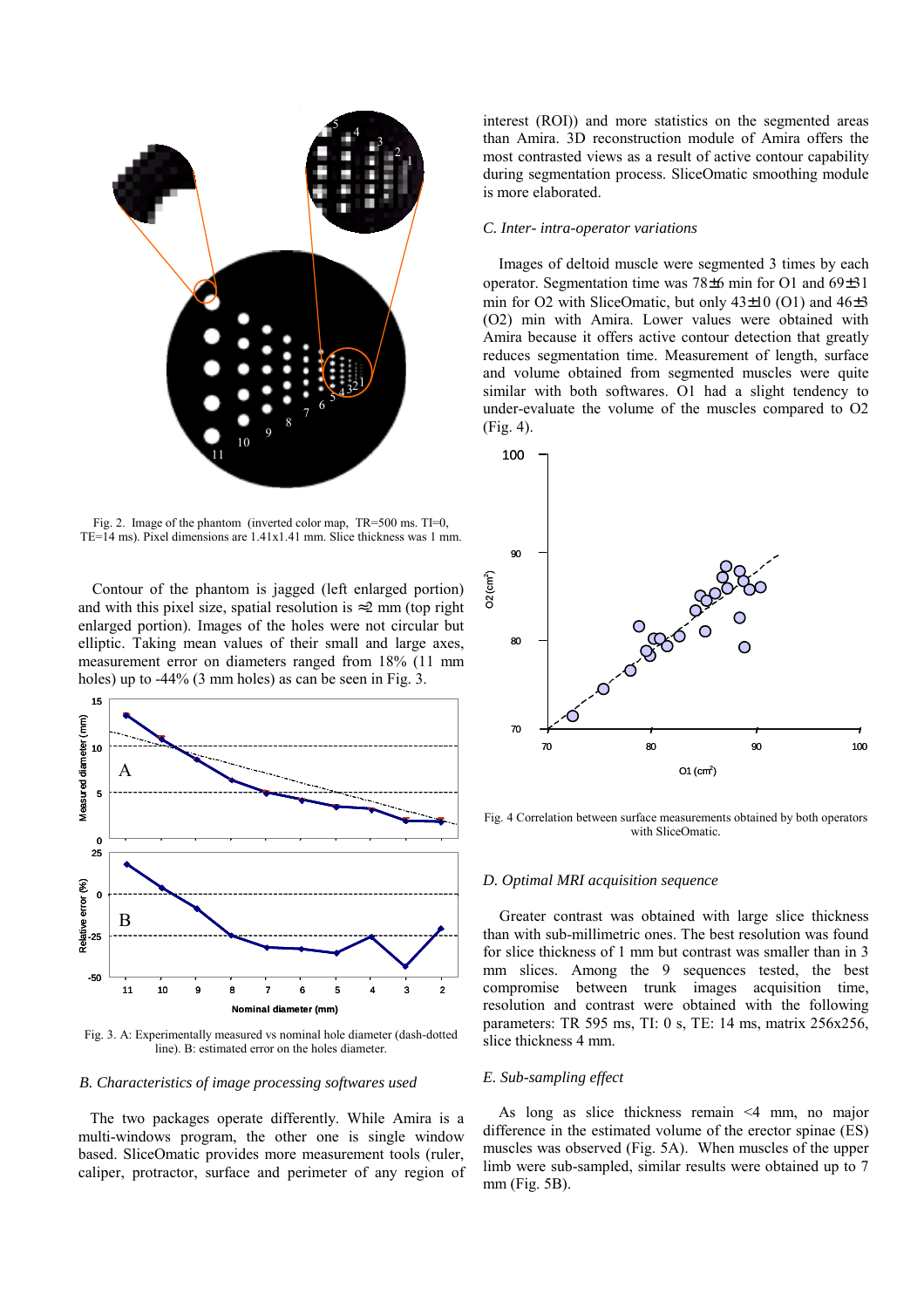

Fig. 2. Image of the phantom (inverted color map, TR=500 ms. TI=0, TE=14 ms). Pixel dimensions are 1.41x1.41 mm. Slice thickness was 1 mm.

Contour of the phantom is jagged (left enlarged portion) and with this pixel size, spatial resolution is  $\approx 2$  mm (top right) enlarged portion). Images of the holes were not circular but elliptic. Taking mean values of their small and large axes, measurement error on diameters ranged from 18% (11 mm holes) up to -44% (3 mm holes) as can be seen in Fig. 3.



Fig. 3. A: Experimentally measured vs nominal hole diameter (dash-dotted line). B: estimated error on the holes diameter.

## *B. Characteristics of image processing softwares used*

 The two packages operate differently. While Amira is a multi-windows program, the other one is single window based. SliceOmatic provides more measurement tools (ruler, caliper, protractor, surface and perimeter of any region of interest (ROI)) and more statistics on the segmented areas than Amira. 3D reconstruction module of Amira offers the most contrasted views as a result of active contour capability during segmentation process. SliceOmatic smoothing module is more elaborated.

## *C. Inter- intra-operator variations*

 Images of deltoid muscle were segmented 3 times by each operator. Segmentation time was 78±6 min for O1 and 69±31 min for O2 with SliceOmatic, but only 43±10 (O1) and 46±3 (O2) min with Amira. Lower values were obtained with Amira because it offers active contour detection that greatly reduces segmentation time. Measurement of length, surface and volume obtained from segmented muscles were quite similar with both softwares. O1 had a slight tendency to under-evaluate the volume of the muscles compared to O2 (Fig. 4).



Fig. 4 Correlation between surface measurements obtained by both operators with SliceOmatic*.* 

# *D. Optimal MRI acquisition sequence*

 Greater contrast was obtained with large slice thickness than with sub-millimetric ones. The best resolution was found for slice thickness of 1 mm but contrast was smaller than in 3 mm slices. Among the 9 sequences tested, the best compromise between trunk images acquisition time, resolution and contrast were obtained with the following parameters: TR 595 ms, TI: 0 s, TE: 14 ms, matrix 256x256, slice thickness 4 mm.

# *E. Sub-sampling effect*

 As long as slice thickness remain <4 mm, no major difference in the estimated volume of the erector spinae (ES) muscles was observed (Fig. 5A). When muscles of the upper limb were sub-sampled, similar results were obtained up to 7 mm (Fig. 5B).